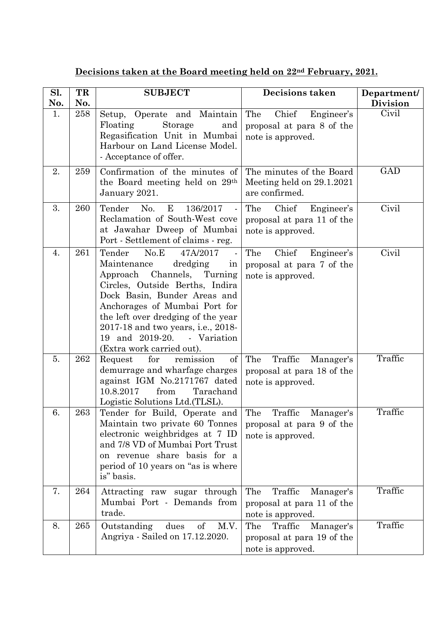**Decisions taken at the Board meeting held on 22nd February, 2021.**

| Sl.       | TR         | <b>SUBJECT</b>                                                                                                                                                                                                                                                                                                                           | Decisions taken                                                                | Department/              |
|-----------|------------|------------------------------------------------------------------------------------------------------------------------------------------------------------------------------------------------------------------------------------------------------------------------------------------------------------------------------------------|--------------------------------------------------------------------------------|--------------------------|
| No.<br>1. | No.<br>258 | Setup, Operate and Maintain<br>Floating<br><b>Storage</b><br>and                                                                                                                                                                                                                                                                         | The<br>Chief<br>Engineer's                                                     | <b>Division</b><br>Civil |
|           |            | Regasification Unit in Mumbai<br>Harbour on Land License Model.<br>- Acceptance of offer.                                                                                                                                                                                                                                                | proposal at para 8 of the<br>note is approved.                                 |                          |
| 2.        | 259        | Confirmation of the minutes of<br>the Board meeting held on 29 <sup>th</sup><br>January 2021.                                                                                                                                                                                                                                            | The minutes of the Board<br>Meeting held on 29.1.2021<br>are confirmed.        | <b>GAD</b>               |
| 3.        | 260        | Tender No.<br>E<br>136/2017<br>Reclamation of South-West cove<br>at Jawahar Dweep of Mumbai<br>Port - Settlement of claims - reg.                                                                                                                                                                                                        | The<br>Chief<br>Engineer's<br>proposal at para 11 of the<br>note is approved.  | Civil                    |
| 4.        | 261        | No.E<br>Tender<br>47A/2017<br>Maintenance<br>dredging<br>in<br>Approach Channels, Turning<br>Circles, Outside Berths, Indira<br>Dock Basin, Bunder Areas and<br>Anchorages of Mumbai Port for<br>the left over dredging of the year<br>2017-18 and two years, i.e., 2018-<br>19 and 2019-20.<br>- Variation<br>(Extra work carried out). | The<br>Chief<br>Engineer's<br>proposal at para 7 of the<br>note is approved.   | Civil                    |
| 5.        | 262        | of<br>Request<br>for<br>remission<br>demurrage and wharfage charges<br>against IGM No.2171767 dated<br>10.8.2017<br>from<br>Tarachand<br>Logistic Solutions Ltd. (TLSL).                                                                                                                                                                 | Traffic<br>The<br>Manager's<br>proposal at para 18 of the<br>note is approved. | Traffic                  |
| 6.        | 263        | Tender for Build, Operate and The<br>Maintain two private 60 Tonnes<br>electronic weighbridges at 7 ID<br>and 7/8 VD of Mumbai Port Trust<br>on revenue share basis for a<br>period of 10 years on "as is where<br>is" basis.                                                                                                            | Traffic<br>Manager's<br>proposal at para 9 of the<br>note is approved.         | Traffic                  |
| 7.        | 264        | Attracting raw sugar through<br>Mumbai Port - Demands from<br>trade.                                                                                                                                                                                                                                                                     | Traffic<br>The<br>Manager's<br>proposal at para 11 of the<br>note is approved. | Traffic                  |
| 8.        | 265        | Outstanding<br>dues<br>$\mathrm{of}$<br>M.V.<br>Angriya - Sailed on 17.12.2020.                                                                                                                                                                                                                                                          | Traffic<br>The<br>Manager's<br>proposal at para 19 of the<br>note is approved. | Traffic                  |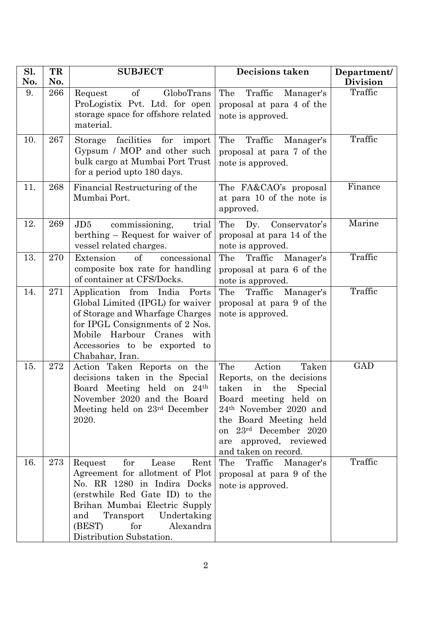| Sl.<br>No. | TR<br>No. | <b>SUBJECT</b>                                                                                                                                                                                                                                                    | <b>Decisions taken</b>                                                                                                                                                                                                                                                    | Department/<br><b>Division</b> |
|------------|-----------|-------------------------------------------------------------------------------------------------------------------------------------------------------------------------------------------------------------------------------------------------------------------|---------------------------------------------------------------------------------------------------------------------------------------------------------------------------------------------------------------------------------------------------------------------------|--------------------------------|
| 9.         | 266       | of<br>GloboTrans<br>Request<br>ProLogistix Pvt. Ltd. for open<br>storage space for offshore related<br>material.                                                                                                                                                  | Traffic<br>The<br>Manager's<br>proposal at para 4 of the<br>note is approved.                                                                                                                                                                                             | Traffic                        |
| 10.        | 267       | facilities<br>for<br>Storage<br>import<br>Gypsum / MOP and other such<br>bulk cargo at Mumbai Port Trust<br>for a period upto 180 days.                                                                                                                           | The<br>Traffic<br>Manager's<br>proposal at para 7 of the<br>note is approved.                                                                                                                                                                                             | Traffic                        |
| 11.        | 268       | Financial Restructuring of the<br>Mumbai Port.                                                                                                                                                                                                                    | The FA&CAO's proposal<br>at para 10 of the note is<br>approved.                                                                                                                                                                                                           | Finance                        |
| 12.        | 269       | JD5<br>commissioning,<br>trial<br>berthing – Request for waiver of<br>vessel related charges.                                                                                                                                                                     | The<br>Dy.<br>Conservator's<br>proposal at para 14 of the<br>note is approved.                                                                                                                                                                                            | Marine                         |
| 13.        | 270       | Extension<br>of<br>concessional<br>composite box rate for handling<br>of container at CFS/Docks.                                                                                                                                                                  | The<br>Traffic<br>Manager's<br>proposal at para 6 of the<br>note is approved.                                                                                                                                                                                             | Traffic                        |
| 14.        | 271       | Application from India<br>Ports<br>Global Limited (IPGL) for waiver<br>of Storage and Wharfage Charges<br>for IPGL Consignments of 2 Nos.<br>Mobile Harbour Cranes with<br>Accessories to be exported to<br>Chabahar, Iran.                                       | Traffic<br>The<br>Manager's<br>proposal at para 9 of the<br>note is approved.                                                                                                                                                                                             | Traffic                        |
| 15.        | 272       | Action Taken Reports on the<br>decisions taken in the Special<br>Board Meeting held on<br>24 <sup>th</sup><br>November 2020 and the Board<br>Meeting held on 23rd December<br>2020.                                                                               | The<br>Action<br>Taken<br>Reports, on the decisions<br>taken<br>the<br>Special<br>in<br>Board meeting held on<br>24 <sup>th</sup> November 2020 and<br>the Board Meeting held<br>23rd December 2020<br><sub>on</sub><br>approved, reviewed<br>are<br>and taken on record. | GAD                            |
| 16.        | 273       | for<br>Rent<br>Request<br>Lease<br>Agreement for allotment of Plot<br>No. RR 1280 in Indira Docks<br>(erstwhile Red Gate ID) to the<br>Brihan Mumbai Electric Supply<br>Undertaking<br>and<br>Transport<br>(BEST)<br>for<br>Alexandra<br>Distribution Substation. | Traffic<br>The<br>Manager's<br>proposal at para 9 of the<br>note is approved.                                                                                                                                                                                             | Traffic                        |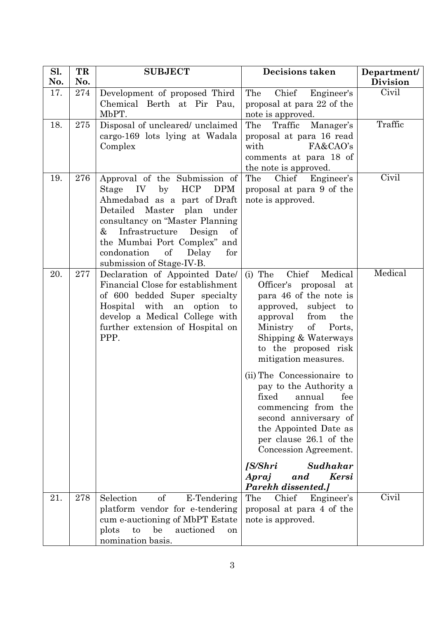| Sl. | TR  | <b>SUBJECT</b>                                                                                                                                                                                                                                                                                                              | <b>Decisions taken</b>                                                                                                                                                                                                                                                                                                                                                                | Department/     |
|-----|-----|-----------------------------------------------------------------------------------------------------------------------------------------------------------------------------------------------------------------------------------------------------------------------------------------------------------------------------|---------------------------------------------------------------------------------------------------------------------------------------------------------------------------------------------------------------------------------------------------------------------------------------------------------------------------------------------------------------------------------------|-----------------|
| No. | No. |                                                                                                                                                                                                                                                                                                                             |                                                                                                                                                                                                                                                                                                                                                                                       | <b>Division</b> |
| 17. | 274 | Development of proposed Third<br>Chemical Berth at Pir Pau,<br>MbPT.                                                                                                                                                                                                                                                        | Chief<br>Engineer's<br>The<br>proposal at para 22 of the<br>note is approved.                                                                                                                                                                                                                                                                                                         | Civil           |
| 18. | 275 | Disposal of uncleared/ unclaimed<br>cargo-169 lots lying at Wadala<br>Complex                                                                                                                                                                                                                                               | Traffic<br>The<br>Manager's<br>proposal at para 16 read<br>FA&CAO's<br>with<br>comments at para 18 of<br>the note is approved.                                                                                                                                                                                                                                                        | Traffic         |
| 19. | 276 | Approval of the Submission of<br><b>HCP</b><br><b>DPM</b><br>IV<br>by<br>Stage<br>Ahmedabad as a part of Draft<br>Detailed Master<br>plan under<br>consultancy on "Master Planning<br>&<br>Infrastructure<br>Design<br>of<br>the Mumbai Port Complex" and<br>condonation<br>of<br>Delay<br>for<br>submission of Stage-IV-B. | Chief<br>The<br>Engineer's<br>proposal at para 9 of the<br>note is approved.                                                                                                                                                                                                                                                                                                          | Civil           |
| 20. | 277 | Declaration of Appointed Date/<br>Financial Close for establishment<br>of 600 bedded Super specialty<br>Hospital with an option<br>to<br>develop a Medical College with<br>further extension of Hospital on<br>PPP.                                                                                                         | Chief<br>Medical<br>$(i)$ The<br>Officer's<br>proposal<br>at<br>para 46 of the note is<br>subject<br>approved,<br>to<br>approval<br>from<br>the<br>of<br>Ministry<br>Ports,<br>Shipping & Waterways<br>to the proposed risk<br>mitigation measures.<br>(ii) The Concessionaire to<br>pay to the Authority a<br>fixed<br>annual<br>fee<br>commencing from the<br>second anniversary of | Medical         |
|     |     |                                                                                                                                                                                                                                                                                                                             | the Appointed Date as<br>per clause 26.1 of the<br>Concession Agreement.<br>Sudhakar<br>[S/Shri<br>Kersi<br>Apraj<br>and                                                                                                                                                                                                                                                              |                 |
| 21. | 278 | Selection<br>of<br>E-Tendering<br>platform vendor for e-tendering<br>cum e-auctioning of MbPT Estate<br>be<br>auctioned<br>to<br>plots<br><sub>on</sub><br>nomination basis.                                                                                                                                                | Parekh dissented.]<br>Chief<br>Engineer's<br>The<br>proposal at para 4 of the<br>note is approved.                                                                                                                                                                                                                                                                                    | Civil           |